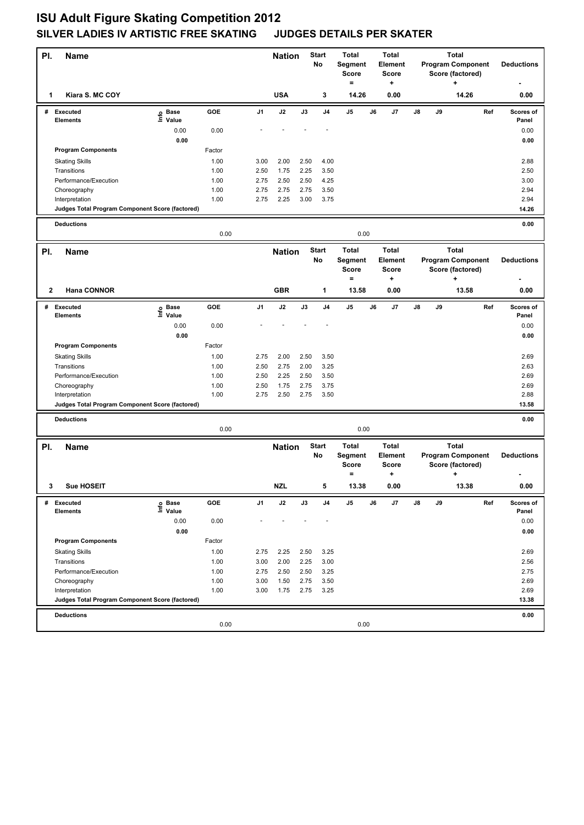## **ISU Adult Figure Skating Competition 2012 SILVER LADIES IV ARTISTIC FREE SKATING JUDGES DETAILS PER SKATER**

| PI.            | Name                                                              |                   |        |                | <b>Nation</b> | <b>Start</b><br>No |                    | <b>Total</b><br>Segment<br><b>Score</b>             | <b>Total</b><br>Element<br><b>Score</b> |                                                     | <b>Total</b><br><b>Program Component</b><br>Score (factored) |    |                                                              |                   | <b>Deductions</b> |
|----------------|-------------------------------------------------------------------|-------------------|--------|----------------|---------------|--------------------|--------------------|-----------------------------------------------------|-----------------------------------------|-----------------------------------------------------|--------------------------------------------------------------|----|--------------------------------------------------------------|-------------------|-------------------|
| 1              | Kiara S. MC COY                                                   |                   |        |                | <b>USA</b>    |                    | 3                  | $=$<br>14.26                                        |                                         | +<br>0.00                                           |                                                              |    | ٠<br>14.26                                                   |                   | 0.00              |
|                | # Executed                                                        | e Base<br>⊑ Value | GOE    | J <sub>1</sub> | J2            | J3                 | J4                 | J <sub>5</sub>                                      | J6                                      | J7                                                  | J8                                                           | J9 |                                                              | Ref               | Scores of         |
|                | <b>Elements</b>                                                   | 0.00              | 0.00   |                |               |                    |                    |                                                     |                                         |                                                     |                                                              |    |                                                              |                   | Panel<br>0.00     |
|                |                                                                   | 0.00              |        |                |               |                    |                    |                                                     |                                         |                                                     |                                                              |    |                                                              |                   | 0.00              |
|                | <b>Program Components</b>                                         |                   | Factor |                |               |                    |                    |                                                     |                                         |                                                     |                                                              |    |                                                              |                   |                   |
|                | <b>Skating Skills</b>                                             |                   | 1.00   | 3.00           | 2.00          | 2.50               | 4.00               |                                                     |                                         |                                                     |                                                              |    |                                                              |                   | 2.88              |
|                | Transitions                                                       |                   | 1.00   | 2.50           | 1.75          | 2.25               | 3.50               |                                                     |                                         |                                                     |                                                              |    |                                                              |                   | 2.50              |
|                | Performance/Execution                                             |                   | 1.00   | 2.75           | 2.50          | 2.50               | 4.25               |                                                     |                                         |                                                     |                                                              |    |                                                              |                   | 3.00              |
|                | Choreography                                                      |                   | 1.00   | 2.75<br>2.75   | 2.75          | 2.75<br>3.00       | 3.50               |                                                     |                                         |                                                     |                                                              |    |                                                              |                   | 2.94              |
|                | Interpretation<br>Judges Total Program Component Score (factored) |                   | 1.00   |                | 2.25          |                    | 3.75               |                                                     |                                         |                                                     |                                                              |    |                                                              |                   | 2.94<br>14.26     |
|                |                                                                   |                   |        |                |               |                    |                    |                                                     |                                         |                                                     |                                                              |    |                                                              |                   |                   |
|                | <b>Deductions</b>                                                 |                   | 0.00   |                |               |                    |                    | 0.00                                                |                                         |                                                     |                                                              |    |                                                              |                   | 0.00              |
| PI.            | <b>Name</b>                                                       |                   |        |                | <b>Nation</b> |                    | <b>Start</b><br>No | <b>Total</b><br>Segment<br><b>Score</b>             | <b>Total</b><br>Element<br><b>Score</b> |                                                     |                                                              |    | <b>Total</b><br><b>Program Component</b><br>Score (factored) | <b>Deductions</b> |                   |
|                |                                                                   |                   |        |                |               |                    |                    | $=$                                                 |                                         | +                                                   |                                                              |    | ۰.                                                           |                   |                   |
| 2              | <b>Hana CONNOR</b>                                                |                   |        |                | <b>GBR</b>    |                    | 1                  | 13.58                                               |                                         | 0.00                                                |                                                              |    | 13.58                                                        |                   | 0.00              |
|                | # Executed                                                        | e Base<br>E Value | GOE    | J1             | J2            | J3                 | J <sub>4</sub>     | J5                                                  | J6                                      | J7                                                  | J8                                                           | J9 |                                                              | Ref               | Scores of         |
|                | <b>Elements</b>                                                   |                   |        |                |               |                    |                    |                                                     |                                         |                                                     |                                                              |    |                                                              |                   | Panel             |
|                |                                                                   | 0.00<br>0.00      | 0.00   |                |               |                    |                    |                                                     |                                         |                                                     |                                                              |    |                                                              |                   | 0.00<br>0.00      |
|                | <b>Program Components</b>                                         |                   | Factor |                |               |                    |                    |                                                     |                                         |                                                     |                                                              |    |                                                              |                   |                   |
|                | <b>Skating Skills</b>                                             |                   | 1.00   | 2.75           | 2.00          | 2.50               | 3.50               |                                                     |                                         |                                                     |                                                              |    |                                                              |                   | 2.69              |
|                | Transitions                                                       |                   | 1.00   | 2.50           | 2.75          | 2.00               | 3.25               |                                                     |                                         |                                                     |                                                              |    |                                                              |                   | 2.63              |
|                | Performance/Execution                                             |                   | 1.00   | 2.50           | 2.25          | 2.50               | 3.50               |                                                     |                                         |                                                     |                                                              |    |                                                              |                   | 2.69              |
|                | Choreography                                                      |                   | 1.00   | 2.50           | 1.75          | 2.75               | 3.75               |                                                     |                                         |                                                     |                                                              |    |                                                              |                   | 2.69              |
|                | Interpretation                                                    |                   | 1.00   | 2.75           | 2.50          | 2.75               | 3.50               |                                                     |                                         |                                                     |                                                              |    |                                                              |                   | 2.88              |
|                | Judges Total Program Component Score (factored)                   |                   |        |                |               |                    |                    |                                                     |                                         |                                                     |                                                              |    |                                                              |                   | 13.58             |
|                | <b>Deductions</b>                                                 |                   | 0.00   |                |               |                    |                    | 0.00                                                |                                         |                                                     |                                                              |    |                                                              |                   | 0.00              |
|                |                                                                   |                   |        |                |               |                    |                    |                                                     |                                         |                                                     |                                                              |    | <b>Total</b>                                                 |                   |                   |
| PI.            | <b>Name</b>                                                       |                   |        |                | <b>Nation</b> |                    | <b>Start</b><br>No | <b>Total</b><br>Segment<br><b>Score</b><br>$\equiv$ |                                         | <b>Total</b><br><b>Element</b><br><b>Score</b><br>٠ |                                                              |    | <b>Program Component</b><br>Score (factored)<br>$\ddot{}$    |                   | <b>Deductions</b> |
| 3 <sup>7</sup> | <b>Sue HOSEIT</b>                                                 |                   |        |                | <b>NZL</b>    |                    |                    | 13.38                                               |                                         | 0.00                                                |                                                              |    | 13.38                                                        |                   | 0.00              |
| #              | <b>Executed</b>                                                   | e Base<br>⊑ Value | GOE    | J1             | J2            | J3                 | J4                 | J5                                                  | J6                                      | J7                                                  | J8                                                           | J9 |                                                              | Ref               | Scores of         |
|                | <b>Elements</b>                                                   |                   |        |                |               |                    |                    |                                                     |                                         |                                                     |                                                              |    |                                                              |                   | Panel             |
|                |                                                                   | 0.00              | 0.00   |                |               |                    |                    |                                                     |                                         |                                                     |                                                              |    |                                                              |                   | 0.00              |
|                | <b>Program Components</b>                                         | 0.00              | Factor |                |               |                    |                    |                                                     |                                         |                                                     |                                                              |    |                                                              |                   | 0.00              |
|                | <b>Skating Skills</b>                                             |                   | 1.00   | 2.75           | 2.25          | 2.50               | 3.25               |                                                     |                                         |                                                     |                                                              |    |                                                              |                   | 2.69              |
|                | Transitions                                                       |                   | 1.00   | 3.00           | 2.00          | 2.25               | 3.00               |                                                     |                                         |                                                     |                                                              |    |                                                              |                   | 2.56              |
|                | Performance/Execution                                             |                   | 1.00   | 2.75           | 2.50          | 2.50               | 3.25               |                                                     |                                         |                                                     |                                                              |    |                                                              |                   | 2.75              |
|                | Choreography                                                      |                   | 1.00   | 3.00           | 1.50          | 2.75               | 3.50               |                                                     |                                         |                                                     |                                                              |    |                                                              |                   | 2.69              |
|                | Interpretation                                                    |                   | 1.00   | 3.00           | 1.75          | 2.75               | 3.25               |                                                     |                                         |                                                     |                                                              |    |                                                              |                   | 2.69              |
|                | Judges Total Program Component Score (factored)                   |                   |        |                |               |                    |                    |                                                     |                                         |                                                     |                                                              |    |                                                              |                   | 13.38             |
|                | <b>Deductions</b>                                                 |                   |        |                |               |                    |                    |                                                     |                                         |                                                     |                                                              |    |                                                              |                   | 0.00              |
|                |                                                                   |                   | 0.00   |                |               |                    |                    | 0.00                                                |                                         |                                                     |                                                              |    |                                                              |                   |                   |